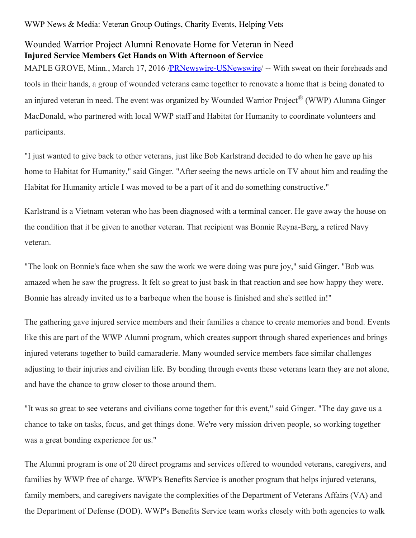## Wounded Warrior Project Alumni Renovate Home for Veteran in Need **Injured Service Members Get Hands on With Afternoon of Service**

MAPLE GROVE, Minn., March 17, 2016 [/PRNewswire-USNewswire](http://www.prnewswire.com/)/ -- With sweat on their foreheads and tools in their hands, a group of wounded veterans came together to renovate a home that is being donated to an injured veteran in need. The event was organized by Wounded Warrior Project® (WWP) Alumna Ginger MacDonald, who partnered with local WWP staff and Habitat for Humanity to coordinate volunteers and participants.

"I just wanted to give back to other veterans, just like Bob Karlstrand decided to do when he gave up his home to Habitat for Humanity," said Ginger. "After seeing the news article on TV about him and reading the Habitat for Humanity article I was moved to be a part of it and do something constructive."

Karlstrand is a Vietnam veteran who has been diagnosed with a terminal cancer. He gave away the house on the condition that it be given to another veteran. That recipient was Bonnie Reyna-Berg, a retired Navy veteran.

"The look on Bonnie's face when she saw the work we were doing was pure joy," said Ginger. "Bob was amazed when he saw the progress. It felt so great to just bask in that reaction and see how happy they were. Bonnie has already invited us to a barbeque when the house is finished and she's settled in!"

The gathering gave injured service members and their families a chance to create memories and bond. Events like this are part of the WWP Alumni program, which creates support through shared experiences and brings injured veterans together to build camaraderie. Many wounded service members face similar challenges adjusting to their injuries and civilian life. By bonding through events these veterans learn they are not alone, and have the chance to grow closer to those around them.

"It was so great to see veterans and civilians come together for this event," said Ginger. "The day gave us a chance to take on tasks, focus, and get things done. We're very mission driven people, so working together was a great bonding experience for us."

The Alumni program is one of 20 direct programs and services offered to wounded veterans, caregivers, and families by WWP free of charge. WWP's Benefits Service is another program that helps injured veterans, family members, and caregivers navigate the complexities of the Department of Veterans Affairs (VA) and the Department of Defense (DOD). WWP's Benefits Service team works closely with both agencies to walk